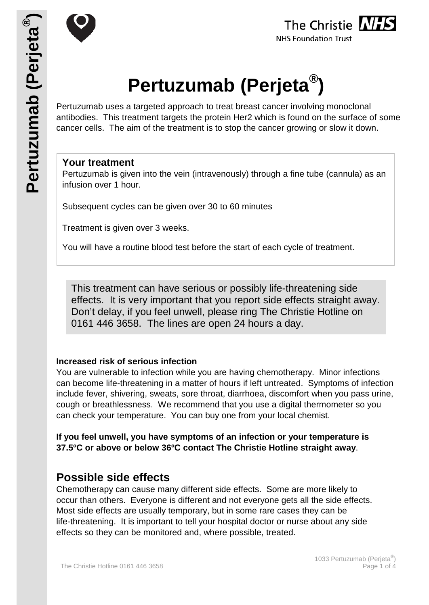





# **Pertuzumab (Perjeta®)**

Pertuzumab uses a targeted approach to treat breast cancer involving monoclonal antibodies. This treatment targets the protein Her2 which is found on the surface of some cancer cells. The aim of the treatment is to stop the cancer growing or slow it down.

## **Your treatment**

Pertuzumab is given into the vein (intravenously) through a fine tube (cannula) as an infusion over 1 hour.

Subsequent cycles can be given over 30 to 60 minutes

Treatment is given over 3 weeks.

You will have a routine blood test before the start of each cycle of treatment.

This treatment can have serious or possibly life-threatening side effects. It is very important that you report side effects straight away. Don't delay, if you feel unwell, please ring The Christie Hotline on 0161 446 3658. The lines are open 24 hours a day.

## **Increased risk of serious infection**

You are vulnerable to infection while you are having chemotherapy. Minor infections can become life-threatening in a matter of hours if left untreated. Symptoms of infection include fever, shivering, sweats, sore throat, diarrhoea, discomfort when you pass urine, cough or breathlessness. We recommend that you use a digital thermometer so you can check your temperature. You can buy one from your local chemist.

**If you feel unwell, you have symptoms of an infection or your temperature is 37.5ºC or above or below 36ºC contact The Christie Hotline straight away**.

# **Possible side effects**

Chemotherapy can cause many different side effects. Some are more likely to occur than others. Everyone is different and not everyone gets all the side effects. Most side effects are usually temporary, but in some rare cases they can be life-threatening. It is important to tell your hospital doctor or nurse about any side effects so they can be monitored and, where possible, treated.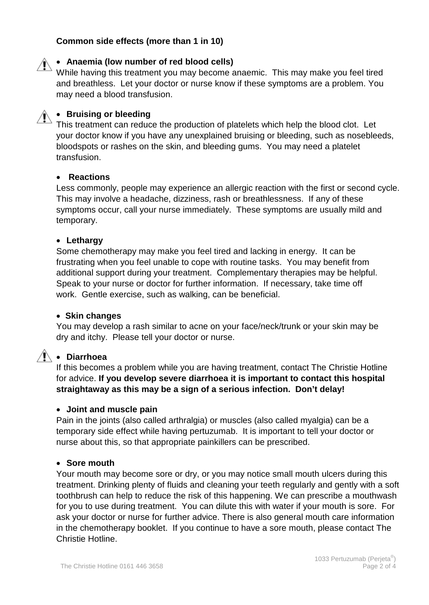## **Common side effects (more than 1 in 10)**

• **Anaemia (low number of red blood cells)**

While having this treatment you may become anaemic. This may make you feel tired and breathless. Let your doctor or nurse know if these symptoms are a problem. You may need a blood transfusion.

# • **Bruising or bleeding**

This treatment can reduce the production of platelets which help the blood clot. Let your doctor know if you have any unexplained bruising or bleeding, such as nosebleeds, bloodspots or rashes on the skin, and bleeding gums. You may need a platelet transfusion.

## • **Reactions**

Less commonly, people may experience an allergic reaction with the first or second cycle. This may involve a headache, dizziness, rash or breathlessness. If any of these symptoms occur, call your nurse immediately. These symptoms are usually mild and temporary.

#### • **Lethargy**

Some chemotherapy may make you feel tired and lacking in energy. It can be frustrating when you feel unable to cope with routine tasks. You may benefit from additional support during your treatment. Complementary therapies may be helpful. Speak to your nurse or doctor for further information. If necessary, take time off work. Gentle exercise, such as walking, can be beneficial.

#### • **Skin changes**

You may develop a rash similar to acne on your face/neck/trunk or your skin may be dry and itchy. Please tell your doctor or nurse.

## • **Diarrhoea**

If this becomes a problem while you are having treatment, contact The Christie Hotline for advice. **If you develop severe diarrhoea it is important to contact this hospital straightaway as this may be a sign of a serious infection. Don't delay!**

#### • **Joint and muscle pain**

Pain in the joints (also called arthralgia) or muscles (also called myalgia) can be a temporary side effect while having pertuzumab. It is important to tell your doctor or nurse about this, so that appropriate painkillers can be prescribed.

#### • **Sore mouth**

Your mouth may become sore or dry, or you may notice small mouth ulcers during this treatment. Drinking plenty of fluids and cleaning your teeth regularly and gently with a soft toothbrush can help to reduce the risk of this happening. We can prescribe a mouthwash for you to use during treatment. You can dilute this with water if your mouth is sore. For ask your doctor or nurse for further advice. There is also general mouth care information in the chemotherapy booklet. If you continue to have a sore mouth, please contact The Christie Hotline.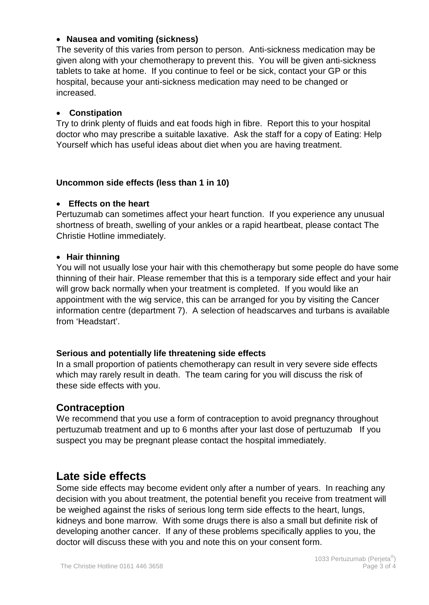## • **Nausea and vomiting (sickness)**

The severity of this varies from person to person. Anti-sickness medication may be given along with your chemotherapy to prevent this. You will be given anti-sickness tablets to take at home. If you continue to feel or be sick, contact your GP or this hospital, because your anti-sickness medication may need to be changed or increased.

## • **Constipation**

Try to drink plenty of fluids and eat foods high in fibre. Report this to your hospital doctor who may prescribe a suitable laxative. Ask the staff for a copy of Eating: Help Yourself which has useful ideas about diet when you are having treatment.

## **Uncommon side effects (less than 1 in 10)**

## • **Effects on the heart**

Pertuzumab can sometimes affect your heart function. If you experience any unusual shortness of breath, swelling of your ankles or a rapid heartbeat, please contact The Christie Hotline immediately.

## • **Hair thinning**

You will not usually lose your hair with this chemotherapy but some people do have some thinning of their hair. Please remember that this is a temporary side effect and your hair will grow back normally when your treatment is completed. If you would like an appointment with the wig service, this can be arranged for you by visiting the Cancer information centre (department 7). A selection of headscarves and turbans is available from 'Headstart'.

## **Serious and potentially life threatening side effects**

In a small proportion of patients chemotherapy can result in very severe side effects which may rarely result in death. The team caring for you will discuss the risk of these side effects with you.

## **Contraception**

We recommend that you use a form of contraception to avoid pregnancy throughout pertuzumab treatment and up to 6 months after your last dose of pertuzumab If you suspect you may be pregnant please contact the hospital immediately.

## **Late side effects**

Some side effects may become evident only after a number of years. In reaching any decision with you about treatment, the potential benefit you receive from treatment will be weighed against the risks of serious long term side effects to the heart, lungs, kidneys and bone marrow. With some drugs there is also a small but definite risk of developing another cancer. If any of these problems specifically applies to you, the doctor will discuss these with you and note this on your consent form.